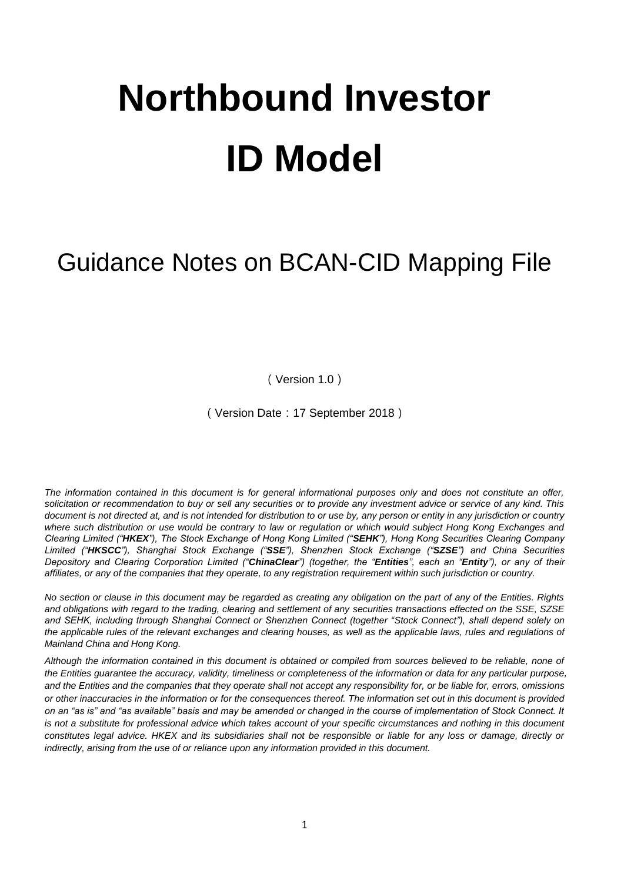# **Northbound Investor ID Model**

# Guidance Notes on BCAN-CID Mapping File

(Version 1.0)

(Version Date:17 September 2018)

*The information contained in this document is for general informational purposes only and does not constitute an offer, solicitation or recommendation to buy or sell any securities or to provide any investment advice or service of any kind. This document is not directed at, and is not intended for distribution to or use by, any person or entity in any jurisdiction or country where such distribution or use would be contrary to law or regulation or which would subject Hong Kong Exchanges and Clearing Limited ("HKEX"), The Stock Exchange of Hong Kong Limited ("SEHK"), Hong Kong Securities Clearing Company Limited ("HKSCC"), Shanghai Stock Exchange ("SSE"), Shenzhen Stock Exchange ("SZSE") and China Securities Depository and Clearing Corporation Limited ("ChinaClear") (together, the "Entities", each an "Entity"), or any of their affiliates, or any of the companies that they operate, to any registration requirement within such jurisdiction or country.*

*No section or clause in this document may be regarded as creating any obligation on the part of any of the Entities. Rights and obligations with regard to the trading, clearing and settlement of any securities transactions effected on the SSE, SZSE and SEHK, including through Shanghai Connect or Shenzhen Connect (together "Stock Connect"), shall depend solely on the applicable rules of the relevant exchanges and clearing houses, as well as the applicable laws, rules and regulations of Mainland China and Hong Kong.*

*Although the information contained in this document is obtained or compiled from sources believed to be reliable, none of the Entities guarantee the accuracy, validity, timeliness or completeness of the information or data for any particular purpose, and the Entities and the companies that they operate shall not accept any responsibility for, or be liable for, errors, omissions or other inaccuracies in the information or for the consequences thereof. The information set out in this document is provided on an "as is" and "as available" basis and may be amended or changed in the course of implementation of Stock Connect. It is not a substitute for professional advice which takes account of your specific circumstances and nothing in this document constitutes legal advice. HKEX and its subsidiaries shall not be responsible or liable for any loss or damage, directly or indirectly, arising from the use of or reliance upon any information provided in this document.*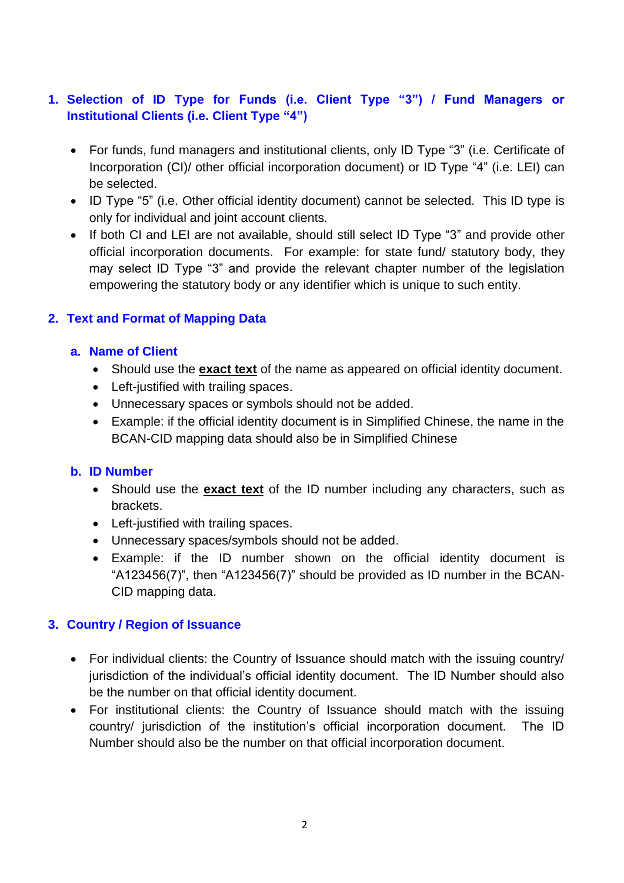# **1. Selection of ID Type for Funds (i.e. Client Type "3") / Fund Managers or Institutional Clients (i.e. Client Type "4")**

- For funds, fund managers and institutional clients, only ID Type "3" (i.e. Certificate of Incorporation (CI)/ other official incorporation document) or ID Type "4" (i.e. LEI) can be selected.
- ID Type "5" (i.e. Other official identity document) cannot be selected. This ID type is only for individual and joint account clients.
- If both CI and LEI are not available, should still select ID Type "3" and provide other official incorporation documents. For example: for state fund/ statutory body, they may select ID Type "3" and provide the relevant chapter number of the legislation empowering the statutory body or any identifier which is unique to such entity.

# **2. Text and Format of Mapping Data**

#### **a. Name of Client**

- Should use the **exact text** of the name as appeared on official identity document.
- Left-justified with trailing spaces.
- Unnecessary spaces or symbols should not be added.
- Example: if the official identity document is in Simplified Chinese, the name in the BCAN-CID mapping data should also be in Simplified Chinese

#### **b. ID Number**

- Should use the **exact text** of the ID number including any characters, such as brackets.
- Left-justified with trailing spaces.
- Unnecessary spaces/symbols should not be added.
- Example: if the ID number shown on the official identity document is "A123456(7)", then "A123456(7)" should be provided as ID number in the BCAN-CID mapping data.

#### **3. Country / Region of Issuance**

- For individual clients: the Country of Issuance should match with the issuing country/ jurisdiction of the individual's official identity document. The ID Number should also be the number on that official identity document.
- For institutional clients: the Country of Issuance should match with the issuing country/ jurisdiction of the institution's official incorporation document. The ID Number should also be the number on that official incorporation document.